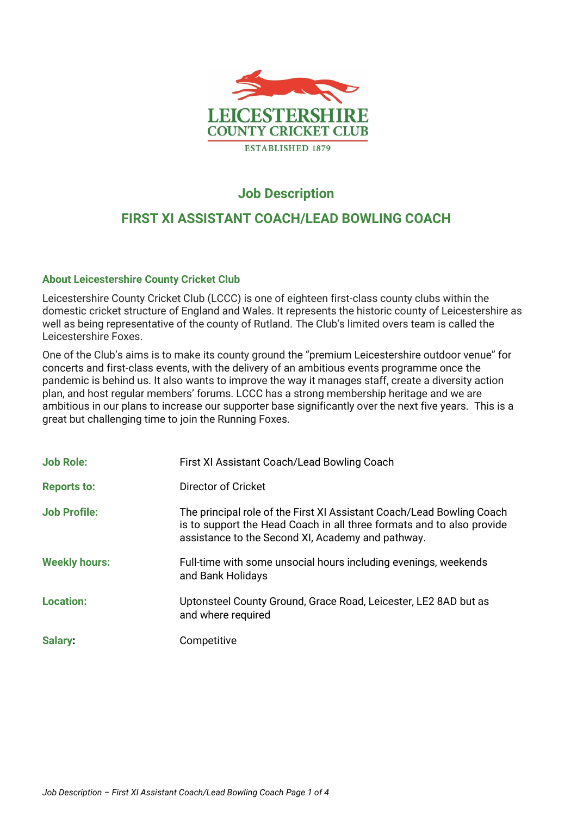

## **Job Description**

# **FIRST XI ASSISTANT COACH/LEAD BOWLING COACH**

## **About Leicestershire County Cricket Club**

Leicestershire County Cricket Club (LCCC) is one of eighteen first-class county clubs within the domestic cricket structure of England and Wales. It represents the historic county of Leicestershire as well as being representative of the county of Rutland. The Club's limited overs team is called the Leicestershire Foxes.

One of the Club's aims is to make its county ground the "premium Leicestershire outdoor venue" for concerts and first-class events, with the delivery of an ambitious events programme once the pandemic is behind us. It also wants to improve the way it manages staff, create a diversity action plan, and host regular members' forums. LCCC has a strong membership heritage and we are ambitious in our plans to increase our supporter base significantly over the next five years. This is a great but challenging time to join the Running Foxes.

| <b>Job Role:</b>     | First XI Assistant Coach/Lead Bowling Coach                                                                                                                                                         |
|----------------------|-----------------------------------------------------------------------------------------------------------------------------------------------------------------------------------------------------|
| <b>Reports to:</b>   | Director of Cricket                                                                                                                                                                                 |
| <b>Job Profile:</b>  | The principal role of the First XI Assistant Coach/Lead Bowling Coach<br>is to support the Head Coach in all three formats and to also provide<br>assistance to the Second XI, Academy and pathway. |
| <b>Weekly hours:</b> | Full-time with some unsocial hours including evenings, weekends<br>and Bank Holidays                                                                                                                |
| <b>Location:</b>     | Uptonsteel County Ground, Grace Road, Leicester, LE2 8AD but as<br>and where required                                                                                                               |
| Salary:              | Competitive                                                                                                                                                                                         |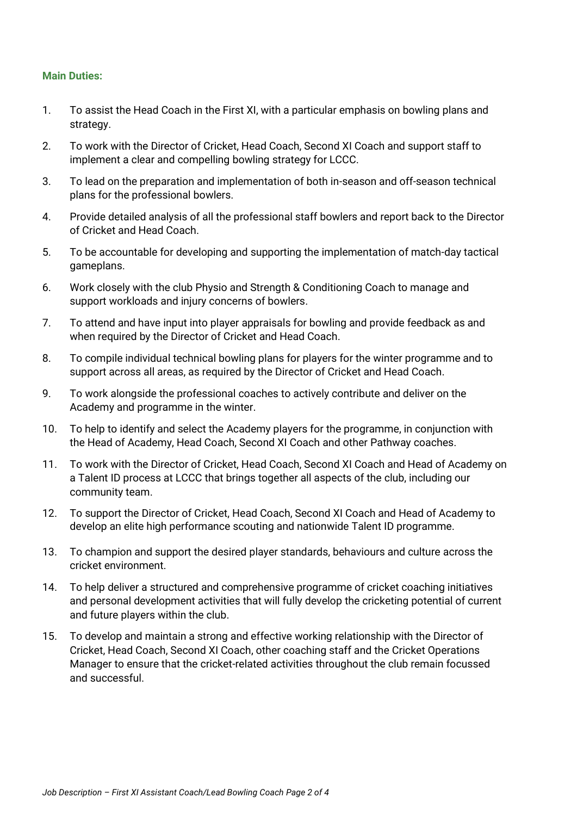### **Main Duties:**

- 1. To assist the Head Coach in the First XI, with a particular emphasis on bowling plans and strategy.
- 2. To work with the Director of Cricket, Head Coach, Second XI Coach and support staff to implement a clear and compelling bowling strategy for LCCC.
- 3. To lead on the preparation and implementation of both in-season and off-season technical plans for the professional bowlers.
- 4. Provide detailed analysis of all the professional staff bowlers and report back to the Director of Cricket and Head Coach.
- 5. To be accountable for developing and supporting the implementation of match-day tactical gameplans.
- 6. Work closely with the club Physio and Strength & Conditioning Coach to manage and support workloads and injury concerns of bowlers.
- 7. To attend and have input into player appraisals for bowling and provide feedback as and when required by the Director of Cricket and Head Coach.
- 8. To compile individual technical bowling plans for players for the winter programme and to support across all areas, as required by the Director of Cricket and Head Coach.
- 9. To work alongside the professional coaches to actively contribute and deliver on the Academy and programme in the winter.
- 10. To help to identify and select the Academy players for the programme, in conjunction with the Head of Academy, Head Coach, Second XI Coach and other Pathway coaches.
- 11. To work with the Director of Cricket, Head Coach, Second XI Coach and Head of Academy on a Talent ID process at LCCC that brings together all aspects of the club, including our community team.
- 12. To support the Director of Cricket, Head Coach, Second XI Coach and Head of Academy to develop an elite high performance scouting and nationwide Talent ID programme.
- 13. To champion and support the desired player standards, behaviours and culture across the cricket environment.
- 14. To help deliver a structured and comprehensive programme of cricket coaching initiatives and personal development activities that will fully develop the cricketing potential of current and future players within the club.
- 15. To develop and maintain a strong and effective working relationship with the Director of Cricket, Head Coach, Second XI Coach, other coaching staff and the Cricket Operations Manager to ensure that the cricket-related activities throughout the club remain focussed and successful.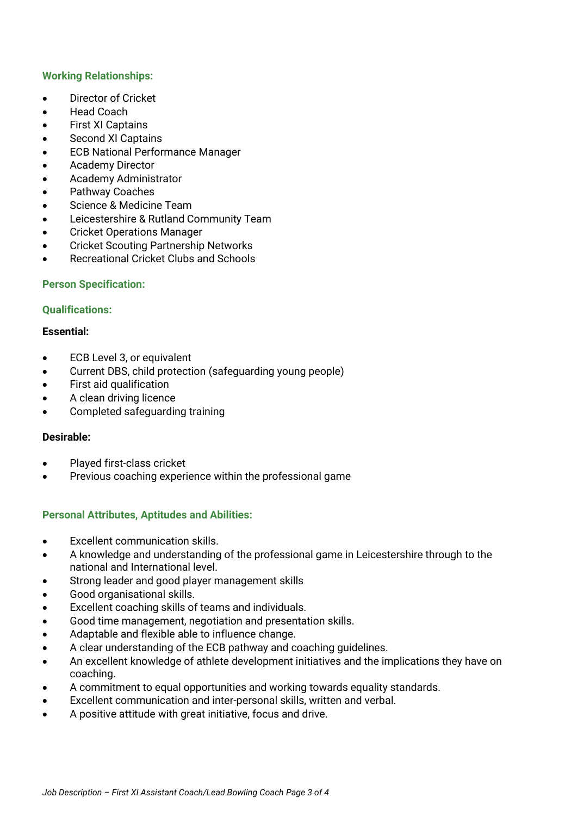## **Working Relationships:**

- Director of Cricket
- Head Coach
- **First XI Captains**
- Second XI Captains
- ECB National Performance Manager
- Academy Director
- Academy Administrator
- Pathway Coaches
- Science & Medicine Team
- Leicestershire & Rutland Community Team
- Cricket Operations Manager
- Cricket Scouting Partnership Networks
- Recreational Cricket Clubs and Schools

### **Person Specification:**

#### **Qualifications:**

#### **Essential:**

- ECB Level 3, or equivalent
- Current DBS, child protection (safeguarding young people)
- First aid qualification
- A clean driving licence
- Completed safeguarding training

#### **Desirable:**

- Played first-class cricket
- Previous coaching experience within the professional game

## **Personal Attributes, Aptitudes and Abilities:**

- Excellent communication skills.
- A knowledge and understanding of the professional game in Leicestershire through to the national and International level.
- Strong leader and good player management skills
- Good organisational skills.
- Excellent coaching skills of teams and individuals.
- Good time management, negotiation and presentation skills.
- Adaptable and flexible able to influence change.
- A clear understanding of the ECB pathway and coaching guidelines.
- An excellent knowledge of athlete development initiatives and the implications they have on coaching.
- A commitment to equal opportunities and working towards equality standards.
- Excellent communication and inter-personal skills, written and verbal.
- A positive attitude with great initiative, focus and drive.